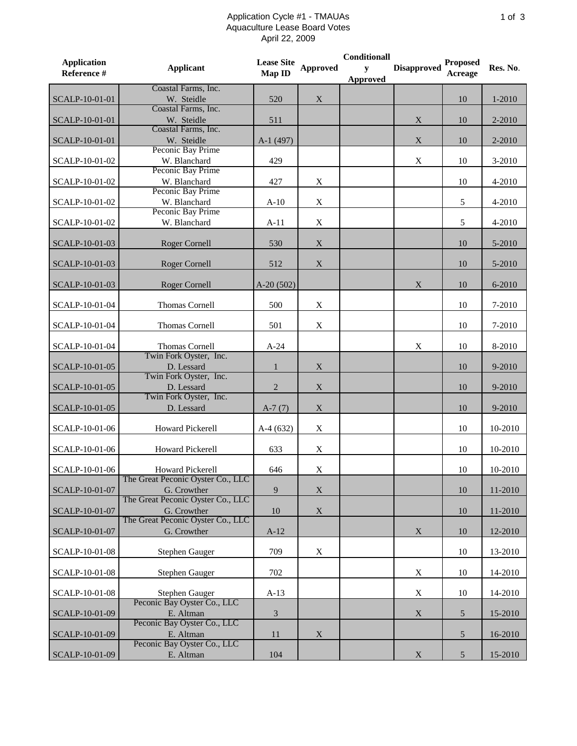## Application Cycle #1 - TMAUAs Aquaculture Lease Board Votes April 22, 2009

| <b>Application</b><br>Reference # | <b>Applicant</b>                                       | <b>Lease Site</b><br>Map ID | <b>Approved</b>           | <b>Conditionall</b><br>y<br><b>Approved</b> | <b>Disapproved</b> | <b>Proposed</b><br>Acreage | Res. No. |
|-----------------------------------|--------------------------------------------------------|-----------------------------|---------------------------|---------------------------------------------|--------------------|----------------------------|----------|
| SCALP-10-01-01                    | Coastal Farms, Inc.<br>W. Steidle                      | 520                         | $\mathbf X$               |                                             |                    | 10                         | 1-2010   |
| SCALP-10-01-01                    | Coastal Farms, Inc.<br>W. Steidle                      | 511                         |                           |                                             | $\mathbf X$        | 10                         | 2-2010   |
| SCALP-10-01-01                    | Coastal Farms, Inc.<br>W. Steidle                      | A-1 (497)                   |                           |                                             | $\mathbf X$        | 10                         | 2-2010   |
| SCALP-10-01-02                    | Peconic Bay Prime<br>W. Blanchard<br>Peconic Bay Prime | 429                         |                           |                                             | $\mathbf X$        | 10                         | 3-2010   |
| SCALP-10-01-02                    | W. Blanchard<br>Peconic Bay Prime                      | 427                         | X                         |                                             |                    | 10                         | 4-2010   |
| SCALP-10-01-02                    | W. Blanchard<br>Peconic Bay Prime                      | $A-10$                      | $\mathbf X$               |                                             |                    | 5                          | 4-2010   |
| SCALP-10-01-02                    | W. Blanchard                                           | $A-11$                      | $\mathbf X$               |                                             |                    | 5                          | 4-2010   |
| SCALP-10-01-03                    | <b>Roger Cornell</b>                                   | 530                         | $\mathbf X$               |                                             |                    | 10                         | 5-2010   |
| SCALP-10-01-03                    | <b>Roger Cornell</b>                                   | 512                         | $\mathbf X$               |                                             |                    | 10                         | 5-2010   |
| SCALP-10-01-03                    | Roger Cornell                                          | $A-20(502)$                 |                           |                                             | X                  | 10                         | 6-2010   |
| SCALP-10-01-04                    | Thomas Cornell                                         | 500                         | $\mathbf X$               |                                             |                    | 10                         | 7-2010   |
| SCALP-10-01-04                    | Thomas Cornell                                         | 501                         | X                         |                                             |                    | 10                         | 7-2010   |
| SCALP-10-01-04                    | Thomas Cornell<br>Twin Fork Oyster, Inc.               | $A-24$                      |                           |                                             | X                  | 10                         | 8-2010   |
| SCALP-10-01-05                    | D. Lessard<br>Twin Fork Oyster, Inc.                   | $\mathbf{1}$                | $\mathbf X$               |                                             |                    | 10                         | 9-2010   |
| SCALP-10-01-05                    | D. Lessard<br>Twin Fork Oyster, Inc.                   | 2                           | $\mathbf X$               |                                             |                    | 10                         | 9-2010   |
| SCALP-10-01-05                    | D. Lessard                                             | $A-7(7)$                    | $\mathbf X$               |                                             |                    | 10                         | 9-2010   |
| SCALP-10-01-06                    | Howard Pickerell                                       | $A-4(632)$                  | X                         |                                             |                    | 10                         | 10-2010  |
| SCALP-10-01-06                    | Howard Pickerell                                       | 633                         | $\mathbf X$               |                                             |                    | 10                         | 10-2010  |
| SCALP-10-01-06                    | Howard Pickerell<br>The Great Peconic Oyster Co., LLC  | 646                         | $\mathbf X$               |                                             |                    | 10                         | 10-2010  |
| SCALP-10-01-07                    | G. Crowther<br>The Great Peconic Oyster Co., LLC       | $\overline{9}$              | $\boldsymbol{\mathrm{X}}$ |                                             |                    | 10                         | 11-2010  |
| SCALP-10-01-07                    | G. Crowther<br>The Great Peconic Oyster Co., LLC       | 10                          | $\mathbf X$               |                                             |                    | 10                         | 11-2010  |
| SCALP-10-01-07                    | G. Crowther                                            | $A-12$                      |                           |                                             | X                  | 10                         | 12-2010  |
| SCALP-10-01-08                    | <b>Stephen Gauger</b>                                  | 709                         | X                         |                                             |                    | 10                         | 13-2010  |
| SCALP-10-01-08                    | Stephen Gauger                                         | 702                         |                           |                                             | X                  | 10                         | 14-2010  |
| SCALP-10-01-08                    | Stephen Gauger<br>Peconic Bay Oyster Co., LLC          | $A-13$                      |                           |                                             | $\mathbf X$        | 10                         | 14-2010  |
| SCALP-10-01-09                    | E. Altman                                              | $\mathfrak{Z}$              |                           |                                             | $\mathbf X$        | 5                          | 15-2010  |
| SCALP-10-01-09                    | Peconic Bay Oyster Co., LLC<br>E. Altman               | 11                          | X                         |                                             |                    | $\mathfrak{S}$             | 16-2010  |
| SCALP-10-01-09                    | Peconic Bay Oyster Co., LLC<br>E. Altman               | 104                         |                           |                                             | $\mathbf X$        | $\mathfrak{S}$             | 15-2010  |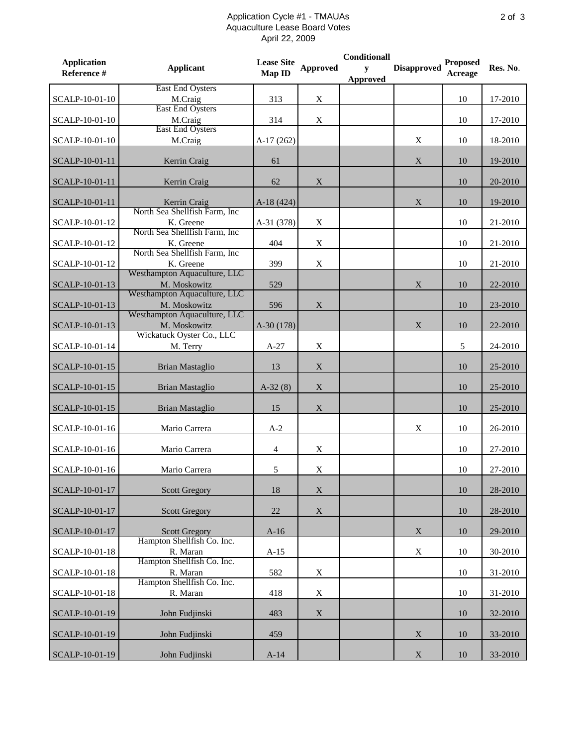## Application Cycle #1 - TMAUAs Aquaculture Lease Board Votes April 22, 2009

| <b>Application</b><br>Reference # | <b>Applicant</b>                                   | <b>Lease Site</b><br>Map ID | <b>Approved</b>           | Conditionall<br>y<br>Approved | <b>Disapproved</b> | <b>Proposed</b><br>Acreage | Res. No. |
|-----------------------------------|----------------------------------------------------|-----------------------------|---------------------------|-------------------------------|--------------------|----------------------------|----------|
| SCALP-10-01-10                    | East End Oysters<br>M.Craig                        | 313                         | X                         |                               |                    | 10                         | 17-2010  |
| SCALP-10-01-10                    | East End Oysters<br>M.Craig<br>East End Oysters    | 314                         | $\mathbf X$               |                               |                    | 10                         | 17-2010  |
| SCALP-10-01-10                    | M.Craig                                            | $A-17(262)$                 |                           |                               | X                  | 10                         | 18-2010  |
| SCALP-10-01-11                    | Kerrin Craig                                       | 61                          |                           |                               | $\mathbf X$        | 10                         | 19-2010  |
| SCALP-10-01-11                    | Kerrin Craig                                       | 62                          | X                         |                               |                    | 10                         | 20-2010  |
| SCALP-10-01-11                    | Kerrin Craig<br>North Sea Shellfish Farm, Inc.     | $A-18(424)$                 |                           |                               | $\mathbf X$        | 10                         | 19-2010  |
| SCALP-10-01-12                    | K. Greene<br>North Sea Shellfish Farm, Inc.        | A-31 (378)                  | $\mathbf X$               |                               |                    | 10                         | 21-2010  |
| SCALP-10-01-12                    | K. Greene<br>North Sea Shellfish Farm, Inc.        | 404                         | $\boldsymbol{\mathrm{X}}$ |                               |                    | 10                         | 21-2010  |
| SCALP-10-01-12                    | K. Greene<br>Westhampton Aquaculture, LLC          | 399                         | $\boldsymbol{\mathrm{X}}$ |                               |                    | 10                         | 21-2010  |
| SCALP-10-01-13                    | M. Moskowitz<br>Westhampton Aquaculture, LLC       | 529                         |                           |                               | X                  | 10                         | 22-2010  |
| SCALP-10-01-13                    | M. Moskowitz<br>Westhampton Aquaculture, LLC       | 596                         | X                         |                               |                    | 10                         | 23-2010  |
| SCALP-10-01-13                    | M. Moskowitz<br>Wickatuck Oyster Co., LLC          | $A-30(178)$                 |                           |                               | X                  | 10                         | 22-2010  |
| SCALP-10-01-14                    | M. Terry                                           | $A-27$                      | X                         |                               |                    | 5                          | 24-2010  |
| SCALP-10-01-15                    | <b>Brian Mastaglio</b>                             | 13                          | X                         |                               |                    | 10                         | 25-2010  |
| SCALP-10-01-15                    | <b>Brian Mastaglio</b>                             | $A-32(8)$                   | $\mathbf X$               |                               |                    | 10                         | 25-2010  |
| SCALP-10-01-15                    | <b>Brian Mastaglio</b>                             | 15                          | $\mathbf X$               |                               |                    | 10                         | 25-2010  |
| SCALP-10-01-16                    | Mario Carrera                                      | $A-2$                       |                           |                               | $\mathbf X$        | 10                         | 26-2010  |
| SCALP-10-01-16                    | Mario Carrera                                      | $\overline{4}$              | X                         |                               |                    | 10                         | 27-2010  |
| SCALP-10-01-16                    | Mario Carrera                                      | $\mathfrak{S}$              | $\mathbf X$               |                               |                    | 10                         | 27-2010  |
| SCALP-10-01-17                    | <b>Scott Gregory</b>                               | 18                          | X                         |                               |                    | 10                         | 28-2010  |
| SCALP-10-01-17                    | <b>Scott Gregory</b>                               | 22                          | X                         |                               |                    | 10                         | 28-2010  |
| SCALP-10-01-17                    | <b>Scott Gregory</b><br>Hampton Shellfish Co. Inc. | $A-16$                      |                           |                               | X                  | 10                         | 29-2010  |
| SCALP-10-01-18                    | R. Maran<br>Hampton Shellfish Co. Inc.             | $A-15$                      |                           |                               | $\mathbf X$        | 10                         | 30-2010  |
| SCALP-10-01-18                    | R. Maran<br>Hampton Shellfish Co. Inc.             | 582                         | $\boldsymbol{\mathrm{X}}$ |                               |                    | 10                         | 31-2010  |
| SCALP-10-01-18                    | R. Maran                                           | 418                         | $\mathbf X$               |                               |                    | 10                         | 31-2010  |
| SCALP-10-01-19                    | John Fudjinski                                     | 483                         | $\boldsymbol{\mathrm{X}}$ |                               |                    | 10                         | 32-2010  |
| SCALP-10-01-19                    | John Fudjinski                                     | 459                         |                           |                               | X                  | 10                         | 33-2010  |
| SCALP-10-01-19                    | John Fudjinski                                     | $A-14$                      |                           |                               | X                  | 10                         | 33-2010  |